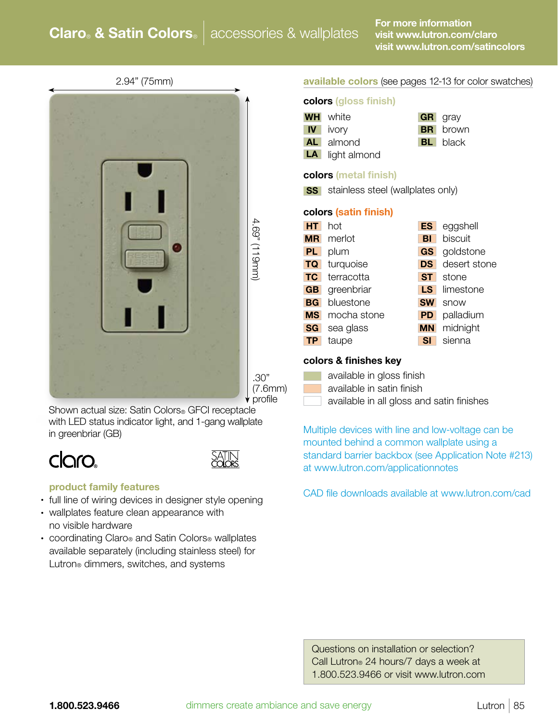## **Claro & Satin Colors** | accessories & wallplates

2.94" (75mm)



Shown actual size: Satin Colors<sup>®</sup> GFCI receptacle with LED status indicator light, and 1-gang wallplate in greenbriar (GB)

# Claro.



#### product family features

- full line of wiring devices in designer style opening
- wallplates feature clean appearance with no visible hardware
- coordinating Claro® and Satin Colors® wallplates available separately (including stainless steel) for Lutron<sup>®</sup> dimmers, switches, and systems

#### available colors (see pages 12-13 for color swatches)

#### colors (gloss finish)

| <b>WH</b>    | white                             | <b>GR</b> | gray         |
|--------------|-----------------------------------|-----------|--------------|
| $\mathbf{N}$ | ivory                             | BRI       | brown        |
| AL I         | almond                            | BLI       | black        |
| LA           | light almond                      |           |              |
|              | <b>colors (metal finish)</b>      |           |              |
| <b>SS</b>    | stainless steel (wallplates only) |           |              |
|              | colors (satin finish)             |           |              |
| HT           | hot                               | ES        | eggshell     |
| <b>MR</b>    | merlot                            | BI        | biscuit      |
| <b>PL</b>    | plum                              | <b>GS</b> | goldstone    |
| <b>TQ</b>    | turquoise                         | <b>DS</b> | desert stone |
| <b>TC</b>    | terracotta                        | <b>ST</b> | stone        |
| GB           | greenbriar                        | LS        | limestone    |
| <b>BG</b>    | bluestone                         | <b>SW</b> | snow         |
| <b>MS</b>    | mocha stone                       | <b>PD</b> | palladium    |
| <b>SG</b>    | sea glass                         | <b>MN</b> | midnight     |
| TP.          | taupe                             | SI        | sienna       |
|              |                                   |           |              |

#### colors & finishes key

|  |  |  | available in gloss finish |  |  |
|--|--|--|---------------------------|--|--|
|  |  |  |                           |  |  |

- available in satin finish
- available in all gloss and satin finishes

Multiple devices with line and low-voltage can be mounted behind a common wallplate using a standard barrier backbox (see Application Note #213) at www.lutron.com/applicationnotes

CAD file downloads available at www.lutron.com/cad

 Questions on installation or selection? Call Lutron® 24 hours/7 days a week at 1.800.523.9466 or visit www.lutron.com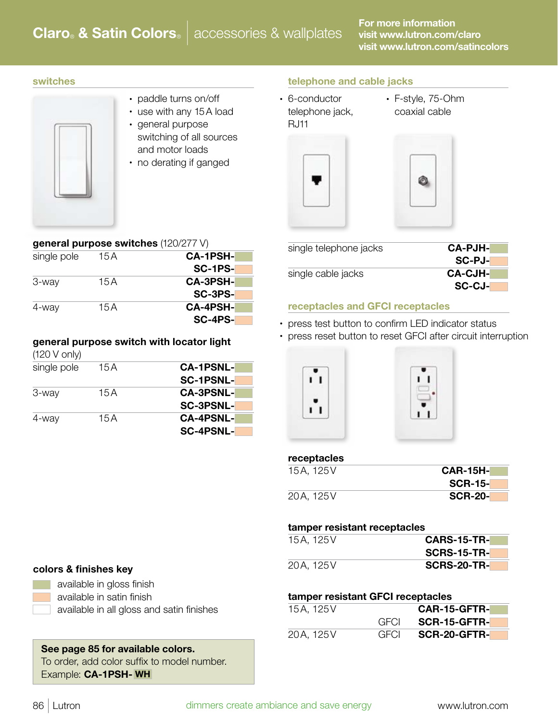#### switches

- 
- paddle turns on/off • use with any 15A load
- general purpose switching of all sources and motor loads
- no derating if ganged

SC-1PS-

SC-3PS-

SC-4PS-

#### telephone and cable jacks

- 6-conductor telephone jack, RJ11
- F-style, 75-Ohm coaxial cable





| single telephone jacks | <b>CA-PJH-</b> |
|------------------------|----------------|
|                        | SC-PJ-         |
| single cable jacks     | <b>CA-CJH-</b> |
|                        | SC-CJ-         |

#### receptacles and GFCI receptacles

- press test button to confirm LED indicator status
- press reset button to reset GFCI after circuit interruption



#### receptacles

| 15A, 125V | $CAR-15H-$     |
|-----------|----------------|
|           | <b>SCR-15-</b> |
| 20A, 125V | <b>SCR-20-</b> |

#### tamper resistant receptacles

| 15A, 125V | <b>CARS-15-TR-</b> |
|-----------|--------------------|
|           | <b>SCRS-15-TR-</b> |
| 20A, 125V | <b>SCRS-20-TR-</b> |

#### tamper resistant GFCI receptacles

| 15A, 125V |       | CAR-15-GFTR- |
|-----------|-------|--------------|
|           | GECL. | SCR-15-GFTR- |
| 20A, 125V | GECL  | SCR-20-GFTR- |

#### colors & finishes key



available in gloss finish available in satin finish

available in all gloss and satin finishes

See page 85 for available colors. To order, add color suffix to model number. Example: CA-1PSH- WH

### general purpose switch with locator light (120 V only)

3-way 15A CA-3PSH-

4-way 15A CA-4PSH-

general purpose switches (120/277 V) single pole 15A CA-1PSH-

| single pole | 15 A | <b>CA-1PSNL-</b> |
|-------------|------|------------------|
|             |      | <b>SC-1PSNL-</b> |
| 3-way       | 15 A | <b>CA-3PSNL-</b> |
|             |      | <b>SC-3PSNL-</b> |
| 4-way       | 15 A | <b>CA-4PSNL-</b> |
|             |      | SC-4PSNL-        |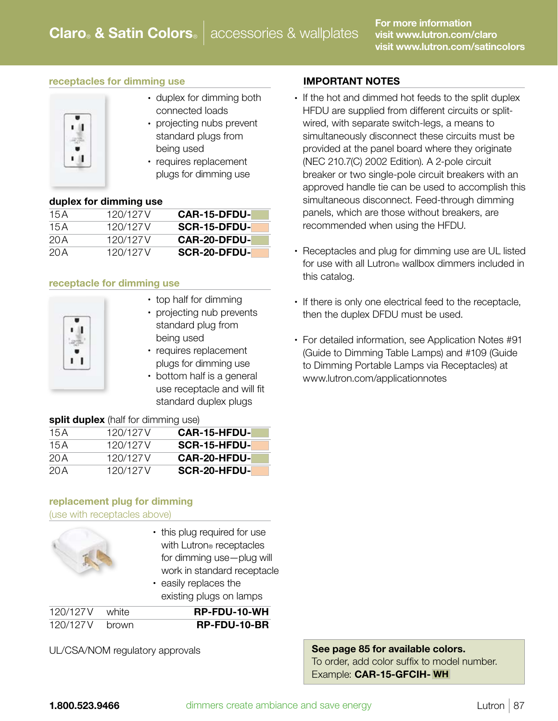#### receptacles for dimming use



- duplex for dimming both connected loads
- projecting nubs prevent standard plugs from being used
- requires replacement plugs for dimming use

#### duplex for dimming use

| <b>CAR-15-DFDU-</b> | 120/127 V | 15 A |
|---------------------|-----------|------|
| <b>SCR-15-DFDU-</b> | 120/127 V | 15A  |
| <b>CAR-20-DFDU-</b> | 120/127V  | 20 A |
| <b>SCR-20-DFDU-</b> | 120/127V  | 20 A |

#### receptacle for dimming use



- top half for dimming
- projecting nub prevents standard plug from being used
- requires replacement plugs for dimming use
- bottom half is a general use receptacle and will fit standard duplex plugs

#### split duplex (half for dimming use)

| <b>CAR-15-HFDU-</b> | 120/127 V | 15 A |
|---------------------|-----------|------|
| SCR-15-HFDU-        | 120/127 V | 15 A |
| <b>CAR-20-HFDU-</b> | 120/127 V | 20 A |
| SCR-20-HFDU-        | 120/127 V | 20 A |

#### replacement plug for dimming (use with receptacles above)



- this plug required for use with Lutron<sup>®</sup> receptacles for dimming use—plug will work in standard receptacle
- easily replaces the existing plugs on lamps

| 120/127V white | RP-FDU-10-WH |
|----------------|--------------|
| 120/127V brown | RP-FDU-10-BR |

UL/CSA/NOM regulatory approvals

#### IMPORTANT NOTES

- If the hot and dimmed hot feeds to the split duplex HFDU are supplied from different circuits or splitwired, with separate switch-legs, a means to simultaneously disconnect these circuits must be provided at the panel board where they originate (NEC 210.7(C) 2002 Edition). A 2-pole circuit breaker or two single-pole circuit breakers with an approved handle tie can be used to accomplish this simultaneous disconnect. Feed-through dimming panels, which are those without breakers, are recommended when using the HFDU.
- Receptacles and plug for dimming use are UL listed for use with all Lutron® wallbox dimmers included in this catalog.
- If there is only one electrical feed to the receptacle, then the duplex DFDU must be used.
- For detailed information, see Application Notes #91 (Guide to Dimming Table Lamps) and #109 (Guide to Dimming Portable Lamps via Receptacles) at www.lutron.com/applicationnotes

#### See page 85 for available colors. To order, add color suffix to model number. Example: CAR-15-GFCIH- WH